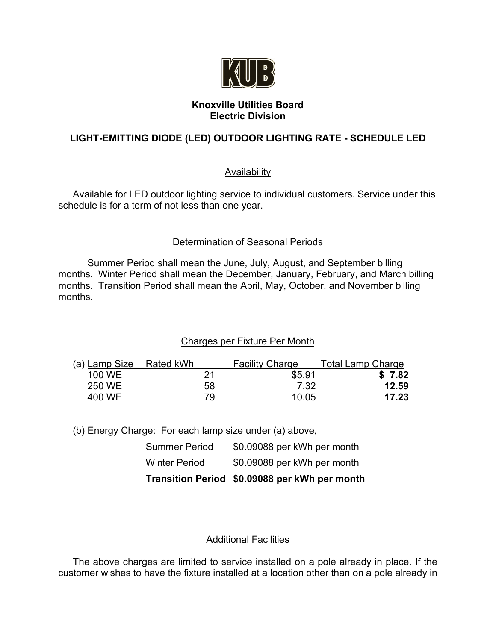

### **Knoxville Utilities Board Electric Division**

# **LIGHT-EMITTING DIODE (LED) OUTDOOR LIGHTING RATE - SCHEDULE LED**

## **Availability**

Available for LED outdoor lighting service to individual customers. Service under this schedule is for a term of not less than one year.

## Determination of Seasonal Periods

Summer Period shall mean the June, July, August, and September billing months. Winter Period shall mean the December, January, February, and March billing months. Transition Period shall mean the April, May, October, and November billing months.

# Charges per Fixture Per Month

| (a) Lamp Size Rated kWh |     | <b>Facility Charge</b> | <b>Total Lamp Charge</b> |
|-------------------------|-----|------------------------|--------------------------|
| 100 WE                  | 21  | \$5.91                 | \$7.82                   |
| 250 WE                  | 58  | 7.32                   | 12.59                    |
| 400 WE                  | 79. | 10.05                  | 17.23                    |

(b) Energy Charge: For each lamp size under (a) above,

|                      | Transition Period \$0.09088 per kWh per month |
|----------------------|-----------------------------------------------|
| <b>Winter Period</b> | \$0.09088 per kWh per month                   |
| <b>Summer Period</b> | \$0.09088 per kWh per month                   |

# Additional Facilities

The above charges are limited to service installed on a pole already in place. If the customer wishes to have the fixture installed at a location other than on a pole already in